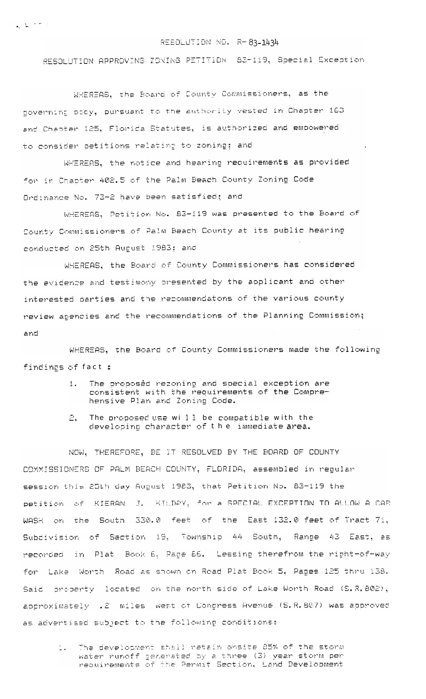## RESOLUTION NO. R-83-1434

RESOLUTION APPROVING ZONING PETITION 63-119, Special Exception

WHEREAS. the Board of County Commissioners, as the governing pocy, pursuant to the authority vested in Chapter 163 and Chapter 125, Florida Statutes, is authorized and empowered to consider petitions relating to zoning; and

WHEREAS, the notice and hearing requirements as provided for in Chapter 402.5 of the Palm Beach County Zoning Code Ordinance No. 73-2 have been satisfied; and

WHEREAS, Petition No. 83-119 was presented to the Board of County Commissioners of Palm Beach County at its public hearing conducted on 25th August 1983; and

WHEREAS, the Board of County Commissioners has considered the evidence and testimony presented by the applicant and other interested parties and the recommendatons of the various county review apencies and the recommendations of the Planning Commission; and

WHEREAS, the Board of County Commissioners made the following findings of fact :

- The proposed rezoning and special exception are  $1.$ consistent with the requirements of the Comprehensive Plan and Zoning Code.
- $\Xi$ . The proposed use will be compatible with the developing character of the immediate area.

NOW, THEREFORE, BE IT RESOLVED BY THE BOARD OF COUNTY COMMISSIONERS OF PALM BEACH COUNTY, FLORIDA, assembled in regular session this 25th day August 1983, that Petition No. 83-119 the petition of KIERAN J. KILDAY, for a SPECIAL EXCEPTION TO ALLOW A CAR WASH on the South 330.0 feet of the East 132.0 feet of Tract 71, Subdivision of Section 19, Township 44 South, Range 43 East, as recorded in Plat Book 6, Page 66. Lessing therefrom the right-of-way for Lake Worth Road as shown on Road Plat Book 5, Pages 125 thru 138. Said property located on the north side of Lake Worth Road (S.R.802), approximately .2 miles west of Congress Avenue (S.R.807) was approved as adventised subject to the following conditions:

The development shall retain onsite 85% of the storm  $\mathcal{L}_{\mathrm{in}}$ water runoff generated by a three (3) year storm per<br>requirements of the Permit Section. Land Development

 $\mathbf{z}_k = \mathbf{y}_k - \mathbf{y}_k \mathbf{z}_k^T \mathbf{z}_k^T$